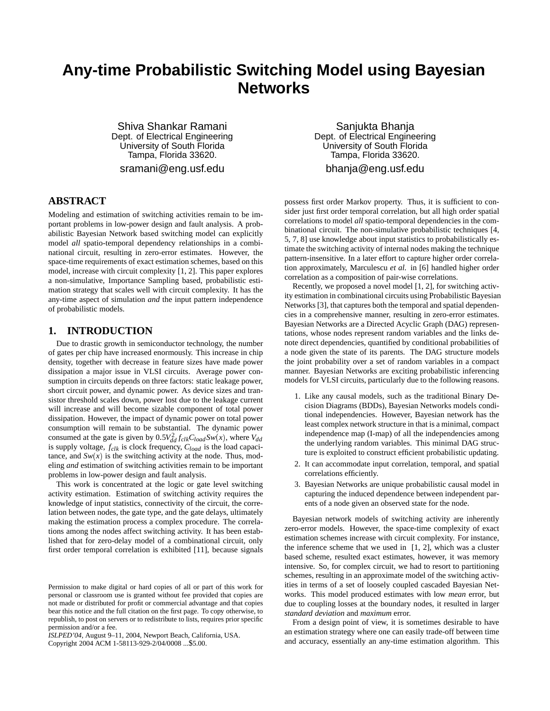# **Any-time Probabilistic Switching Model using Bayesian Networks**

Shiva Shankar Ramani Dept. of Electrical Engineering University of South Florida Tampa, Florida 33620. sramani@eng.usf.edu

# **ABSTRACT**

Modeling and estimation of switching activities remain to be important problems in low-power design and fault analysis. A probabilistic Bayesian Network based switching model can explicitly model *all* spatio-temporal dependency relationships in a combinational circuit, resulting in zero-error estimates. However, the space-time requirements of exact estimation schemes, based on this model, increase with circuit complexity [1, 2]. This paper explores a non-simulative, Importance Sampling based, probabilistic estimation strategy that scales well with circuit complexity. It has the any-time aspect of simulation *and* the input pattern independence of probabilistic models.

# **1. INTRODUCTION**

Due to drastic growth in semiconductor technology, the number of gates per chip have increased enormously. This increase in chip density, together with decrease in feature sizes have made power dissipation a major issue in VLSI circuits. Average power consumption in circuits depends on three factors: static leakage power, short circuit power, and dynamic power. As device sizes and transistor threshold scales down, power lost due to the leakage current will increase and will become sizable component of total power dissipation. However, the impact of dynamic power on total power consumption will remain to be substantial. The dynamic power consumed at the gate is given by  $0.5V_{dd}^2 f_{clk} C_{load} S_{W}(x)$ , where  $V_{dd}$ is supply voltage, *fclk* is clock frequency, *Cload* is the load capacitance, and  $Sw(x)$  is the switching activity at the node. Thus, modeling *and* estimation of switching activities remain to be important problems in low-power design and fault analysis.

This work is concentrated at the logic or gate level switching activity estimation. Estimation of switching activity requires the knowledge of input statistics, connectivity of the circuit, the correlation between nodes, the gate type, and the gate delays, ultimately making the estimation process a complex procedure. The correlations among the nodes affect switching activity. It has been established that for zero-delay model of a combinational circuit, only first order temporal correlation is exhibited [11], because signals

*ISLPED'04,* August 9–11, 2004, Newport Beach, California, USA. Copyright 2004 ACM 1-58113-929-2/04/0008 ...\$5.00.

Sanjukta Bhanja Dept. of Electrical Engineering University of South Florida Tampa, Florida 33620. bhanja@eng.usf.edu

possess first order Markov property. Thus, it is sufficient to consider just first order temporal correlation, but all high order spatial correlations to model *all* spatio-temporal dependencies in the combinational circuit. The non-simulative probabilistic techniques [4, 5, 7, 8] use knowledge about input statistics to probabilistically estimate the switching activity of internal nodes making the technique pattern-insensitive. In a later effort to capture higher order correlation approximately, Marculescu *et al.* in [6] handled higher order correlation as a composition of pair-wise correlations.

Recently, we proposed a novel model [1, 2], for switching activity estimation in combinational circuits using Probabilistic Bayesian Networks[3], that captures both the temporal and spatial dependencies in a comprehensive manner, resulting in zero-error estimates. Bayesian Networks are a Directed Acyclic Graph (DAG) representations, whose nodes represent random variables and the links denote direct dependencies, quantified by conditional probabilities of a node given the state of its parents. The DAG structure models the joint probability over a set of random variables in a compact manner. Bayesian Networks are exciting probabilistic inferencing models for VLSI circuits, particularly due to the following reasons.

- 1. Like any causal models, such as the traditional Binary Decision Diagrams (BDDs), Bayesian Networks models conditional independencies. However, Bayesian network has the least complex network structure in that is a minimal, compact independence map (I-map) of all the independencies among the underlying random variables. This minimal DAG structure is exploited to construct efficient probabilistic updating.
- 2. It can accommodate input correlation, temporal, and spatial correlations efficiently.
- 3. Bayesian Networks are unique probabilistic causal model in capturing the induced dependence between independent parents of a node given an observed state for the node.

Bayesian network models of switching activity are inherently zero-error models. However, the space-time complexity of exact estimation schemes increase with circuit complexity. For instance, the inference scheme that we used in  $[1, 2]$ , which was a cluster based scheme, resulted exact estimates, however, it was memory intensive. So, for complex circuit, we had to resort to partitioning schemes, resulting in an approximate model of the switching activities in terms of a set of loosely coupled cascaded Bayesian Networks. This model produced estimates with low *mean* error, but due to coupling losses at the boundary nodes, it resulted in larger *standard deviation* and *maximum* error.

From a design point of view, it is sometimes desirable to have an estimation strategy where one can easily trade-off between time and accuracy, essentially an any-time estimation algorithm. This

Permission to make digital or hard copies of all or part of this work for personal or classroom use is granted without fee provided that copies are not made or distributed for profit or commercial advantage and that copies bear this notice and the full citation on the first page. To copy otherwise, to republish, to post on servers or to redistribute to lists, requires prior specific permission and/or a fee.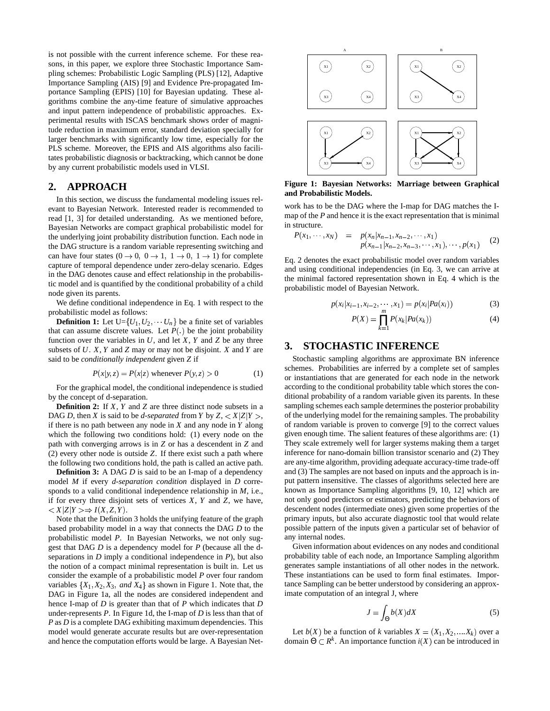is not possible with the current inference scheme. For these reasons, in this paper, we explore three Stochastic Importance Sampling schemes: Probabilistic Logic Sampling (PLS) [12], Adaptive Importance Sampling (AIS) [9] and Evidence Pre-propagated Importance Sampling (EPIS) [10] for Bayesian updating. These algorithms combine the any-time feature of simulative approaches and input pattern independence of probabilistic approaches. Experimental results with ISCAS benchmark shows order of magnitude reduction in maximum error, standard deviation specially for larger benchmarks with significantly low time, especially for the PLS scheme. Moreover, the EPIS and AIS algorithms also facilitates probabilistic diagnosis or backtracking, which cannot be done by any current probabilistic models used in VLSI.

### **2. APPROACH**

In this section, we discuss the fundamental modeling issues relevant to Bayesian Network. Interested reader is recommended to read [1, 3] for detailed understanding. As we mentioned before, Bayesian Networks are compact graphical probabilistic model for the underlying joint probability distribution function. Each node in the DAG structure is a random variable representing switching and can have four states  $(0 \rightarrow 0, 0 \rightarrow 1, 1 \rightarrow 0, 1 \rightarrow 1)$  for complete capture of temporal dependence under zero-delay scenario. Edges in the DAG denotes cause and effect relationship in the probabilistic model and is quantified by the conditional probability of a child node given its parents.

We define conditional independence in Eq. 1 with respect to the probabilistic model as follows:

**Definition 1:** Let  $U = \{U_1, U_2, \dots, U_n\}$  be a finite set of variables that can assume discrete values. Let  $P(.)$  be the joint probability function over the variables in  $U$ , and let  $X$ ,  $Y$  and  $Z$  be any three subsets of *U*. *X*, *Y* and *Z* may or may not be disjoint. *X* and *Y* are said to be *conditionally independent* given *Z* if

$$
P(x|y, z) = P(x|z) \text{ whenever } P(y, z) > 0 \tag{1}
$$

For the graphical model, the conditional independence is studied by the concept of d-separation.

**Definition 2:** If *X*, *Y* and *Z* are three distinct node subsets in a DAG *D*, then *X* is said to be *d-separated* from *Y* by  $Z$ ,  $\langle X|Z|Y\rangle$ , if there is no path between any node in *X* and any node in *Y* along which the following two conditions hold: (1) every node on the path with converging arrows is in *Z* or has a descendent in *Z* and (2) every other node is outside *Z*. If there exist such a path where the following two conditions hold, the path is called an active path.

**Definition 3:** A DAG *D* is said to be an I-map of a dependency model *M* if every *d-separation condition* displayed in *D* corresponds to a valid conditional independence relationship in *M*, i.e., if for every three disjoint sets of vertices *X*, *Y* and *Z*, we have,  $\langle X|Z|Y\rangle \Rightarrow I(X,Z,Y).$ 

Note that the Definition 3 holds the unifying feature of the graph based probability model in a way that connects the DAG *D* to the probabilistic model *P*. In Bayesian Networks, we not only suggest that DAG *D* is a dependency model for *P* (because all the dseparations in *D* imply a conditional independence in *P*), but also the notion of a compact minimal representation is built in. Let us consider the example of a probabilistic model *P* over four random variables  $\{X_1, X_2, X_3, \text{ and } X_4\}$  as shown in Figure 1. Note that, the DAG in Figure 1a, all the nodes are considered independent and hence I-map of *D* is greater than that of *P* which indicates that *D* under-represents *P*. In Figure 1d, the I-map of *D* is less than that of *P* as *D* is a complete DAG exhibiting maximum dependencies. This model would generate accurate results but are over-representation and hence the computation efforts would be large. A Bayesian Net-



**Figure 1: Bayesian Networks: Marriage between Graphical and Probabilistic Models.**

work has to be the DAG where the I-map for DAG matches the Imap of the *P* and hence it is the exact representation that is minimal in structure.

$$
P(x_1, \cdots, x_N) = p(x_n | x_{n-1}, x_{n-2}, \cdots, x_1) p(x_{n-1} | x_{n-2}, x_{n-3}, \cdots, x_1), \cdots, p(x_1)
$$
 (2)

Eq. 2 denotes the exact probabilistic model over random variables and using conditional independencies (in Eq. 3, we can arrive at the minimal factored representation shown in Eq. 4 which is the probabilistic model of Bayesian Network.

$$
p(x_i|x_{i-1}, x_{i-2}, \cdots, x_1) = p(x_i|Pa(x_i))
$$
\n(3)

$$
P(X) = \prod_{k=1}^{n} P(x_k | Pa(x_k))
$$
\n(4)

# **3. STOCHASTIC INFERENCE**

Stochastic sampling algorithms are approximate BN inference schemes. Probabilities are inferred by a complete set of samples or instantiations that are generated for each node in the network according to the conditional probability table which stores the conditional probability of a random variable given its parents. In these sampling schemes each sample determines the posterior probability of the underlying model for the remaining samples. The probability of random variable is proven to converge [9] to the correct values given enough time. The salient features of these algorithms are: (1) They scale extremely well for larger systems making them a target inference for nano-domain billion transistor scenario and (2) They are any-time algorithm, providing adequate accuracy-time trade-off and (3) The samples are not based on inputs and the approach is input pattern insensitive. The classes of algorithms selected here are known as Importance Sampling algorithms [9, 10, 12] which are not only good predictors or estimators, predicting the behaviors of descendent nodes (intermediate ones) given some properties of the primary inputs, but also accurate diagnostic tool that would relate possible pattern of the inputs given a particular set of behavior of any internal nodes.

Given information about evidences on any nodes and conditional probability table of each node, an Importance Sampling algorithm generates sample instantiations of all other nodes in the network. These instantiations can be used to form final estimates. Importance Sampling can be better understood by considering an approximate computation of an integral J, where

$$
J = \int_{\Theta} b(X) dX \tag{5}
$$

Let  $b(X)$  be a function of *k* variables  $X = (X_1, X_2, \dots, X_k)$  over a domain  $\Theta \subset \mathbb{R}^k$ . An importance function  $i(X)$  can be introduced in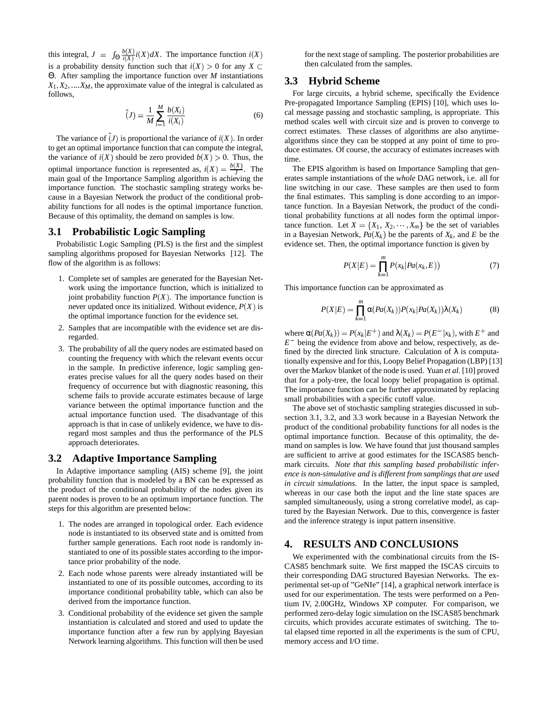this integral,  $J = \int_{\Theta} \frac{b(X)}{i(X)} i(X)$  $\frac{\partial (X)}{\partial (X)} i(X) dX$ . The importance function  $i(X)$ is a probability density function such that  $i(X) > 0$  for any  $X \subset$ Θ. After sampling the importance function over *M* instantiations  $X_1, X_2, \ldots, X_M$ , the approximate value of the integral is calculated as follows,

$$
\hat{J}(J) = \frac{1}{M} \sum_{i=1}^{M} \frac{b(X_i)}{i(X_i)}
$$
(6)

The variance of  $\hat{j}$  is proportional the variance of  $i(X)$ . In order to get an optimal importance function that can compute the integral, the variance of  $i(X)$  should be zero provided  $b(X) > 0$ . Thus, the optimal importance function is represented as,  $i(X) = \frac{b(X)}{J}$ . The main goal of the Importance Sampling algorithm is achieving the importance function. The stochastic sampling strategy works because in a Bayesian Network the product of the conditional probability functions for all nodes is the optimal importance function. Because of this optimality, the demand on samples is low.

## **3.1 Probabilistic Logic Sampling**

Probabilistic Logic Sampling (PLS) is the first and the simplest sampling algorithms proposed for Bayesian Networks [12]. The flow of the algorithm is as follows:

- 1. Complete set of samples are generated for the Bayesian Network using the importance function, which is initialized to joint probability function  $P(X)$ . The importance function is never updated once its initialized. Without evidence,  $P(X)$  is the optimal importance function for the evidence set.
- 2. Samples that are incompatible with the evidence set are disregarded.
- 3. The probability of all the query nodes are estimated based on counting the frequency with which the relevant events occur in the sample. In predictive inference, logic sampling generates precise values for all the query nodes based on their frequency of occurrence but with diagnostic reasoning, this scheme fails to provide accurate estimates because of large variance between the optimal importance function and the actual importance function used. The disadvantage of this approach is that in case of unlikely evidence, we have to disregard most samples and thus the performance of the PLS approach deteriorates.

#### **3.2 Adaptive Importance Sampling**

In Adaptive importance sampling (AIS) scheme [9], the joint probability function that is modeled by a BN can be expressed as the product of the conditional probability of the nodes given its parent nodes is proven to be an optimum importance function. The steps for this algorithm are presented below:

- 1. The nodes are arranged in topological order. Each evidence node is instantiated to its observed state and is omitted from further sample generations. Each root node is randomly instantiated to one of its possible states according to the importance prior probability of the node.
- 2. Each node whose parents were already instantiated will be instantiated to one of its possible outcomes, according to its importance conditional probability table, which can also be derived from the importance function.
- 3. Conditional probability of the evidence set given the sample instantiation is calculated and stored and used to update the importance function after a few run by applying Bayesian Network learning algorithms. This function will then be used

for the next stage of sampling. The posterior probabilities are then calculated from the samples.

#### **3.3 Hybrid Scheme**

For large circuits, a hybrid scheme, specifically the Evidence Pre-propagated Importance Sampling (EPIS) [10], which uses local message passing and stochastic sampling, is appropriate. This method scales well with circuit size and is proven to converge to correct estimates. These classes of algorithms are also anytimealgorithms since they can be stopped at any point of time to produce estimates. Of course, the accuracy of estimates increases with time.

The EPIS algorithm is based on Importance Sampling that generates sample instantiations of the *whole* DAG network, i.e. all for line switching in our case. These samples are then used to form the final estimates. This sampling is done according to an importance function. In a Bayesian Network, the product of the conditional probability functions at all nodes form the optimal importance function. Let  $X = \{X_1, X_2, \dots, X_m\}$  be the set of variables in a Bayesian Network,  $Pa(X_k)$  be the parents of  $X_k$ , and  $E$  be the evidence set. Then, the optimal importance function is given by

$$
P(X|E) = \prod_{k=1}^{m} P(x_k|Pa(x_k, E))
$$
 (7)

This importance function can be approximated as

$$
P(X|E) = \prod_{k=1}^{m} \alpha(Pa(X_k))P(x_k|Pa(X_k))\lambda(X_k)
$$
 (8)

where  $\alpha(Pa(X_k)) = P(x_k|E^+)$  and  $\lambda(X_k) = P(E^-|x_k)$ , with  $E^+$  and  $E^-$  being the evidence from above and below, respectively, as defined by the directed link structure. Calculation of  $\lambda$  is computationally expensive and for this, Loopy Belief Propagation (LBP) [13] over the Markov blanket of the node is used. Yuan *et al.* [10] proved that for a poly-tree, the local loopy belief propagation is optimal. The importance function can be further approximated by replacing small probabilities with a specific cutoff value.

The above set of stochastic sampling strategies discussed in subsection 3.1, 3.2, and 3.3 work because in a Bayesian Network the product of the conditional probability functions for all nodes is the optimal importance function. Because of this optimality, the demand on samples is low. We have found that just thousand samples are sufficient to arrive at good estimates for the ISCAS85 benchmark circuits. *Note that this sampling based probabilistic inference is non-simulative and is different from samplings that are used in circuit simulations.* In the latter, the input space is sampled, whereas in our case both the input and the line state spaces are sampled simultaneously, using a strong correlative model, as captured by the Bayesian Network. Due to this, convergence is faster and the inference strategy is input pattern insensitive.

#### **4. RESULTS AND CONCLUSIONS**

We experimented with the combinational circuits from the IS-CAS85 benchmark suite. We first mapped the ISCAS circuits to their corresponding DAG structured Bayesian Networks. The experimental set-up of "GeNIe" [14], a graphical network interface is used for our experimentation. The tests were performed on a Pentium IV, 2.00GHz, Windows XP computer. For comparison, we performed zero-delay logic simulation on the ISCAS85 benchmark circuits, which provides accurate estimates of switching. The total elapsed time reported in all the experiments is the sum of CPU, memory access and I/O time.